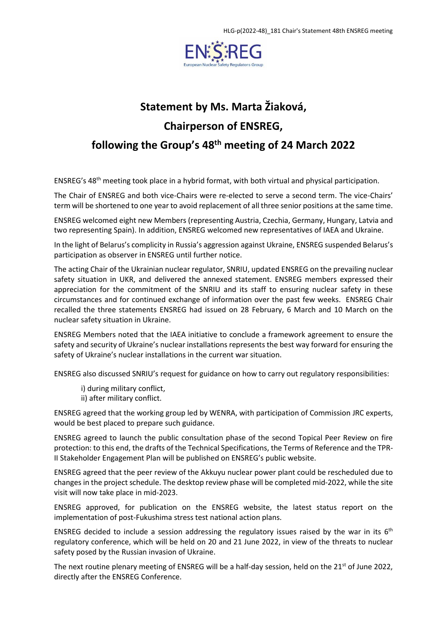

## **Statement by Ms. Marta Žiaková, Chairperson of ENSREG, following the Group's 48 th meeting of 24 March 2022**

ENSREG's 48<sup>th</sup> meeting took place in a hybrid format, with both virtual and physical participation.

The Chair of ENSREG and both vice-Chairs were re-elected to serve a second term. The vice-Chairs' term will be shortened to one year to avoid replacement of all three senior positions at the same time.

ENSREG welcomed eight new Members (representing Austria, Czechia, Germany, Hungary, Latvia and two representing Spain). In addition, ENSREG welcomed new representatives of IAEA and Ukraine.

In the light of Belarus's complicity in Russia's aggression against Ukraine, ENSREG suspended Belarus's participation as observer in ENSREG until further notice.

The acting Chair of the Ukrainian nuclear regulator, SNRIU, updated ENSREG on the prevailing nuclear safety situation in UKR, and delivered the annexed statement. ENSREG members expressed their appreciation for the commitment of the SNRIU and its staff to ensuring nuclear safety in these circumstances and for continued exchange of information over the past few weeks. ENSREG Chair recalled the three statements ENSREG had issued on 28 February, 6 March and 10 March on the nuclear safety situation in Ukraine.

ENSREG Members noted that the IAEA initiative to conclude a framework agreement to ensure the safety and security of Ukraine's nuclear installations represents the best way forward for ensuring the safety of Ukraine's nuclear installations in the current war situation.

ENSREG also discussed SNRIU's request for guidance on how to carry out regulatory responsibilities:

- i) during military conflict,
- ii) after military conflict.

ENSREG agreed that the working group led by WENRA, with participation of Commission JRC experts, would be best placed to prepare such guidance.

ENSREG agreed to launch the public consultation phase of the second Topical Peer Review on fire protection: to this end, the drafts of the Technical Specifications, the Terms of Reference and the TPR-II Stakeholder Engagement Plan will be published on ENSREG's public website.

ENSREG agreed that the peer review of the Akkuyu nuclear power plant could be rescheduled due to changes in the project schedule. The desktop review phase will be completed mid-2022, while the site visit will now take place in mid-2023.

ENSREG approved, for publication on the ENSREG website, the latest status report on the implementation of post-Fukushima stress test national action plans.

ENSREG decided to include a session addressing the regulatory issues raised by the war in its  $6<sup>th</sup>$ regulatory conference, which will be held on 20 and 21 June 2022, in view of the threats to nuclear safety posed by the Russian invasion of Ukraine.

The next routine plenary meeting of ENSREG will be a half-day session, held on the 21<sup>st</sup> of June 2022, directly after the ENSREG Conference.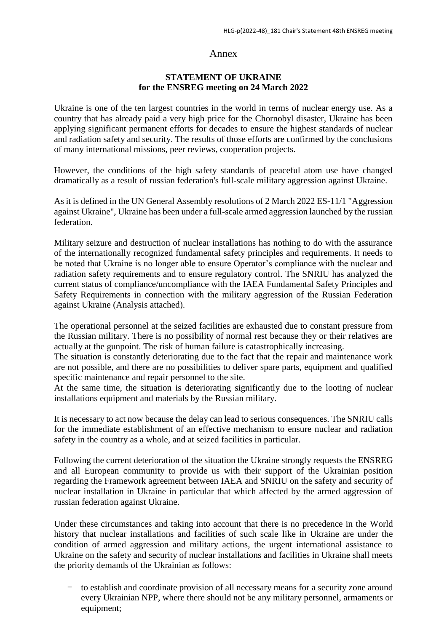## Annex

## **STATEMENT OF UKRAINE for the ENSREG meeting on 24 March 2022**

Ukraine is one of the ten largest countries in the world in terms of nuclear energy use. As a country that has already paid a very high price for the Chornobyl disaster, Ukraine has been applying significant permanent efforts for decades to ensure the highest standards of nuclear and radiation safety and security. The results of those efforts are confirmed by the conclusions of many international missions, peer reviews, cooperation projects.

However, the conditions of the high safety standards of peaceful atom use have changed dramatically as a result of russian federation's full-scale military aggression against Ukraine.

As it is defined in the UN General Assembly resolutions of 2 March 2022 ES-11/1 "Aggression against Ukraine", Ukraine has been under a full-scale armed aggression launched by the russian federation.

Military seizure and destruction of nuclear installations has nothing to do with the assurance of the internationally recognized fundamental safety principles and requirements. It needs to be noted that Ukraine is no longer able to ensure Operator's compliance with the nuclear and radiation safety requirements and to ensure regulatory control. The SNRIU has analyzed the current status of compliance/uncompliance with the IAEA Fundamental Safety Principles and Safety Requirements in connection with the military aggression of the Russian Federation against Ukraine (Analysis attached).

The operational personnel at the seized facilities are exhausted due to constant pressure from the Russian military. There is no possibility of normal rest because they or their relatives are actually at the gunpoint. The risk of human failure is catastrophically increasing.

The situation is constantly deteriorating due to the fact that the repair and maintenance work are not possible, and there are no possibilities to deliver spare parts, equipment and qualified specific maintenance and repair personnel to the site.

At the same time, the situation is deteriorating significantly due to the looting of nuclear installations equipment and materials by the Russian military.

It is necessary to act now because the delay can lead to serious consequences. The SNRIU calls for the immediate establishment of an effective mechanism to ensure nuclear and radiation safety in the country as a whole, and at seized facilities in particular.

Following the current deterioration of the situation the Ukraine strongly requests the ENSREG and all European community to provide us with their support of the Ukrainian position regarding the Framework agreement between IAEA and SNRIU on the safety and security of nuclear installation in Ukraine in particular that which affected by the armed aggression of russian federation against Ukraine.

Under these circumstances and taking into account that there is no precedence in the World history that nuclear installations and facilities of such scale like in Ukraine are under the condition of armed aggression and military actions, the urgent international assistance to Ukraine on the safety and security of nuclear installations and facilities in Ukraine shall meets the priority demands of the Ukrainian as follows:

- to establish and coordinate provision of all necessary means for a security zone around every Ukrainian NPP, where there should not be any military personnel, armaments or equipment;